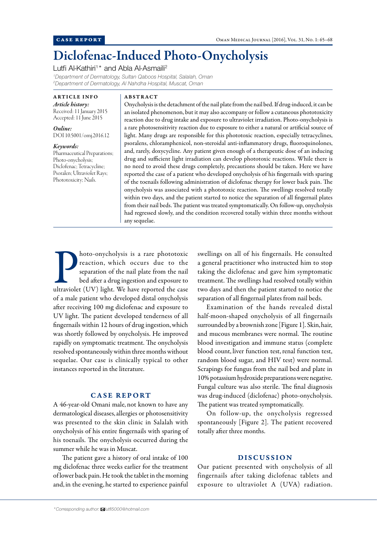# Diclofenac-Induced Photo-Onycholysis

Lutfi Al-Kathiri<sup>1\*</sup> and Abla Al-Asmaili<sup>2</sup>

*1 Department of Dermatology, Sultan Qaboos Hospital, Salalah, Oman 2 Department of Dermatology, Al Nahdha Hospital, Muscat, Oman*

ARTICLE INFO *Article history:* Received: 11 January 2015 Accepted: 11 June 2015

*Online:* DOI 10.5001/omj.2016.12

*Keywords:* Pharmaceutical Preparations; Photo-onycholysis; Diclofenac; Tetracycline; Psoralen; Ultraviolet Rays; Phototoxicity; Nails.

## ABSTRACT

Onycholysis is the detachment of the nail plate from the nail bed. If drug-induced, it can be an isolated phenomenon, but it may also accompany or follow a cutaneous phototoxicity reaction due to drug intake and exposure to ultraviolet irradiation. Photo-onycholysis is a rare photosensitivity reaction due to exposure to either a natural or artificial source of light. Many drugs are responsible for this phototoxic reaction, especially tetracyclines, psoralens, chloramphenicol, non-steroidal anti-inflammatory drugs, fluoroquinolones, and, rarely, doxycycline. Any patient given enough of a therapeutic dose of an inducing drug and sufficient light irradiation can develop phototoxic reactions. While there is no need to avoid these drugs completely, precautions should be taken. Here we have reported the case of a patient who developed onycholysis of his fingernails with sparing of the toenails following administration of diclofenac therapy for lower back pain. The onycholysis was associated with a phototoxic reaction. The swellings resolved totally within two days, and the patient started to notice the separation of all fingernail plates from their nail beds. The patient was treated symptomatically. On follow-up, onycholysis had regressed slowly, and the condition recovered totally within three months without any sequelae.

**Photo-onycholysis is a rare phototoxic reaction, which occurs due to the separation of the nail plate from the nail bed after a drug ingestion and exposure to ultraviolet (UV) light. We have reported the case** hoto-onycholysis is a rare phototoxic reaction, which occurs due to the separation of the nail plate from the nail bed after a drug ingestion and exposure to of a male patient who developed distal onycholysis after receiving 100 mg diclofenac and exposure to UV light. The patient developed tenderness of all fingernails within 12 hours of drug ingestion,which was shortly followed by onycholysis. He improved rapidly on symptomatic treatment. The onycholysis resolved spontaneously within three months without sequelae. Our case is clinically typical to other instances reported in the literature.

## CASE REPORT

A 46-year-old Omani male, not known to have any dermatological diseases,allergies or photosensitivity was presented to the skin clinic in Salalah with onycholysis of his entire fingernails with sparing of his toenails. The onycholysis occurred during the summer while he was in Muscat.

The patient gave a history of oral intake of 100 mg diclofenac three weeks earlier for the treatment of lower back pain. He took the tablet in the morning and, in the evening, he started to experience painful swellings on all of his fingernails. He consulted a general practitioner who instructed him to stop taking the diclofenac and gave him symptomatic treatment. The swellings had resolved totally within two days and then the patient started to notice the separation of all fingernail plates from nail beds.

Examination of the hands revealed distal half-moon-shaped onycholysis of all fingernails surrounded by a brownish zone [Figure 1]. Skin, hair, and mucous membranes were normal. The routine blood investigation and immune status (complete blood count, liver function test, renal function test, random blood sugar, and HIV test) were normal. Scrapings for fungus from the nail bed and plate in 10% potassium hydroxide preparations were negative. Fungal culture was also sterile. The final diagnosis was drug-induced (diclofenac) photo-onycholysis. The patient was treated symptomatically.

On follow-up, the onycholysis regressed spontaneously [Figure 2]. The patient recovered totally after three months.

# DISCUSSION

Our patient presented with onycholysis of all fingernails after taking diclofenac tablets and exposure to ultraviolet A (UVA) radiation.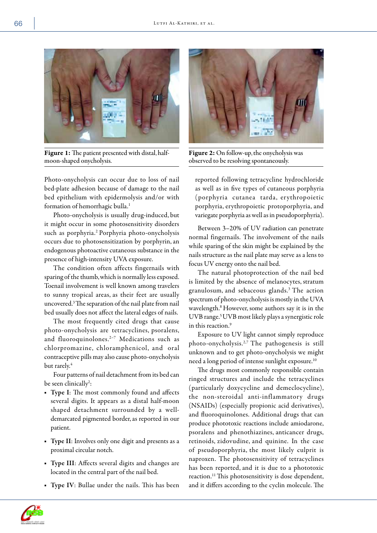

Figure 1: The patient presented with distal, halfmoon-shaped onycholysis.

Photo-onycholysis can occur due to loss of nail bed-plate adhesion because of damage to the nail bed epithelium with epidermolysis and/or with formation of hemorrhagic bulla.<sup>1</sup>

Photo-onycholysis is usually drug-induced, but it might occur in some photosensitivity disorders such as porphyria.2 Porphyria photo-onycholysis occurs due to photosensitization by porphyrin,an endogenous photoactive cutaneous substance in the presence of high-intensity UVA exposure.

The condition often affects fingernails with sparing of the thumb,which is normally less exposed. Toenail involvement is well known among travelers to sunny tropical areas, as their feet are usually uncovered.3 The separation of the nail plate from nail bed usually does not affect the lateral edges of nails.

The most frequently cited drugs that cause photo-onycholysis are tetracyclines, psoralens, and fluoroquinolones.<sup>2-7</sup> Medications such as chlorpromazine, chloramphenicol, and oral contraceptive pills may also cause photo-onycholysis but rarely.<sup>4</sup>

Four patterns of nail detachment from its bed can be seen clinically<sup>2</sup>:

- Type I: The most commonly found and affects several digits. It appears as a distal half-moon shaped detachment surrounded by a welldemarcated pigmented border, as reported in our patient.
- Type II: Involves only one digit and presents as a proximal circular notch.
- Type III: Affects several digits and changes are located in the central part of the nail bed.
- Type IV: Bullae under the nails. This has been



Figure 2: On follow-up, the onycholysis was observed to be resolving spontaneously.

reported following tetracycline hydrochloride as well as in five types of cutaneous porphyria (porphyria cutanea tarda, erythropoietic porphyria, erythropoietic protoporphyria, and variegate porphyria as well as in pseudoporphyria).

Between 3–20% of UV radiation can penetrate normal fingernails. The involvement of the nails while sparing of the skin might be explained by the nails structure as the nail plate may serve as a lens to focus UV energy onto the nail bed.

The natural photoprotection of the nail bed is limited by the absence of melanocytes, stratum granulosum, and sebaceous glands.3 The action spectrum of photo-onycholysis is mostly in the UVA wavelength.<sup>8</sup> However, some authors say it is in the UVB range.<sup>5</sup> UVB most likely plays a synergistic role in this reaction.<sup>9</sup>

Exposure to UV light cannot simply reproduce photo-onycholysis.2,7 The pathogenesis is still unknown and to get photo-onycholysis we might need a long period of intense sunlight exposure.10

The drugs most commonly responsible contain ringed structures and include the tetracyclines (particularly doxycycline and demeclocycline), the non-steroidal anti-inflammatory drugs (NSAIDs) (especially propionic acid derivatives), and fluoroquinolones. Additional drugs that can produce phototoxic reactions include amiodarone, psoralens and phenothiazines, anticancer drugs, retinoids, zidovudine, and quinine. In the case of pseudoporphyria, the most likely culprit is naproxen. The photosensitivity of tetracyclines has been reported, and it is due to a phototoxic reaction.11 This photosensitivity is dose dependent, and it differs according to the cyclin molecule. The



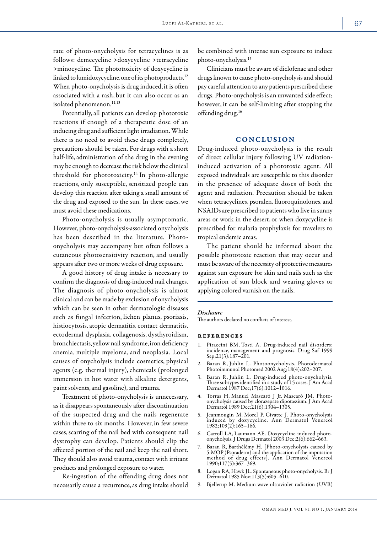rate of photo-onycholysis for tetracyclines is as follows: demecycline >doxycycline >tetracycline >minocycline. The phototoxicity of doxycycline is linked to lumidoxycycline, one of its photoproducts.<sup>12</sup> When photo-onycholysis is drug induced, it is often associated with a rash, but it can also occur as an isolated phenomenon.<sup>11,13</sup>

Potentially,all patients can develop phototoxic reactions if enough of a therapeutic dose of an inducing drug and sufficient light irradiation. While there is no need to avoid these drugs completely, precautions should be taken. For drugs with a short half-life, administration of the drug in the evening may be enough to decrease the risk below the clinical threshold for phototoxicity.14 In photo-allergic reactions, only susceptible, sensitized people can develop this reaction after taking a small amount of the drug and exposed to the sun. In these cases,we must avoid these medications.

Photo-onycholysis is usually asymptomatic. However, photo-onycholysis-associated onycholysis has been described in the literature. Photoonycholysis may accompany but often follows a cutaneous photosensitivity reaction, and usually appears after two or more weeks of drug exposure.

A good history of drug intake is necessary to confirm the diagnosis of drug-induced nail changes. The diagnosis of photo-onycholysis is almost clinical and can be made by exclusion of onycholysis which can be seen in other dermatologic diseases such as fungal infection, lichen planus, psoriasis, histiocytosis, atopic dermatitis, contact dermatitis, ectodermal dysplasia, collagenosis, dysthyroidism, bronchiectasis,yellow nail syndrome,iron deficiency anemia, multiple myeloma, and neoplasia. Local causes of onycholysis include cosmetics, physical agents (e.g. thermal injury), chemicals (prolonged immersion in hot water with alkaline detergents, paint solvents,and gasoline), and trauma.

Treatment of photo-onycholysis is unnecessary, as it disappears spontaneously after discontinuation of the suspected drug and the nails regenerate within three to six months. However, in few severe cases, scarring of the nail bed with consequent nail dystrophy can develop. Patients should clip the affected portion of the nail and keep the nail short. They should also avoid trauma, contact with irritant products and prolonged exposure to water.

Re-ingestion of the offending drug does not necessarily cause a recurrence,as drug intake should be combined with intense sun exposure to induce photo-onycholysis.15

Clinicians must be aware of diclofenac and other drugs known to cause photo-onycholysis and should pay careful attention to any patients prescribed these drugs. Photo-onycholysis is an unwanted side effect; however, it can be self-limiting after stopping the offending drug.<sup>16</sup>

### CONCLUSION

Drug-induced photo-onycholysis is the result of direct cellular injury following UV radiationinduced activation of a phototoxic agent. All exposed individuals are susceptible to this disorder in the presence of adequate doses of both the agent and radiation. Precaution should be taken when tetracyclines, psoralen, fluoroquinolones, and NSAIDs are prescribed to patients who live in sunny areas or work in the desert, or when doxycycline is prescribed for malaria prophylaxis for travelers to tropical endemic areas.

The patient should be informed about the possible phototoxic reaction that may occur and must be aware of the necessity of protective measures against sun exposure for skin and nails such as the application of sun block and wearing gloves or applying colored varnish on the nails.

#### *Disclosure*

The authors declared no conflicts of interest.

#### references

- 1. Piraccini BM, Tosti A. Drug-induced nail disorders: incidence, management and prognosis. Drug Saf 1999 Sep;21(3):187–201.
- 2. Baran R, Juhlin L. Photoonycholysis. Photodermatol Photoimmunol Photomed 2002 Aug;18(4):202–207.
- 3. Baran R, Juhlin L. Drug-induced photo-onycholysis. Three subtypes identified in a study of 15 cases. J Am Acad Dermatol 1987 Dec;17(6):1012–1016.
- 4. Torras H, Manuel Mascaró J Jr, Mascaró JM. Photoonycholysis caused by clorazepate dipotassium. J Am Acad Dermatol 1989 Dec;21(6):1304–1305.
- 5. Jeanmougin M, Morel P, Civatte J. Photo-onycholysis induced by doxycycline. Ann Dermatol Venereol 1982;109(2):165–166.
- 6. Carroll LA, Laumann AE. Doxycycline-induced photo- onycholysis. J Drugs Dermatol 2003 Dec;2(6):662–663.
- 7. Baran R, Barthélémy H. [Photo-onycholysis caused by 5-MOP (Psoraderm) and the application of the imputation method of drug effects]. Ann Dermatol Venereol 1990;117(5):367–369.
- 8. Logan RA,Hawk JL. Spontaneous photo-onycholysis. Br J Dermatol 1985 Nov;113(5):605–610.
- 9. Bjellerup M. Medium-wave ultraviolet radiation (UVB)